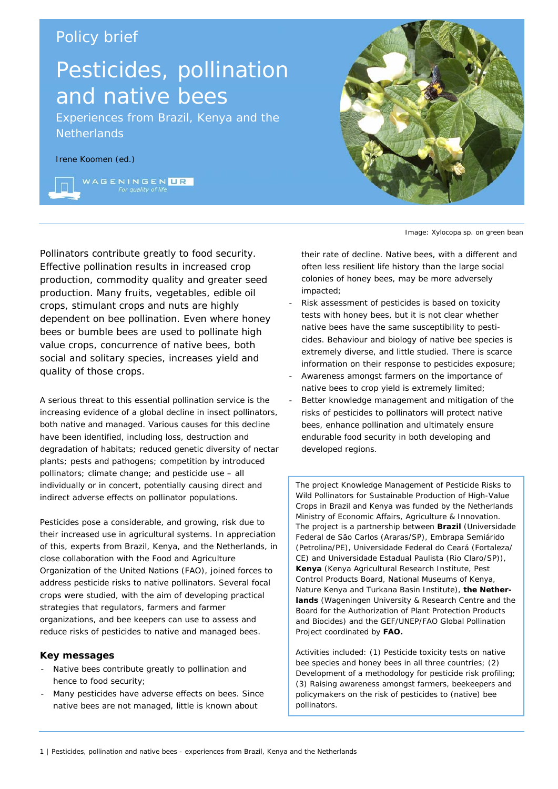## Policy brief

# Pesticides, pollination and native bees

Experiences from Brazil, Kenya and the **Netherlands** 

## Irene Koomen (ed.)

WAGENINGENLIR

Pollinators contribute greatly to food security. Effective pollination results in increased crop production, commodity quality and greater seed production. Many fruits, vegetables, edible oil crops, stimulant crops and nuts are highly dependent on bee pollination. Even where honey bees or bumble bees are used to pollinate high value crops, concurrence of native bees, both social and solitary species, increases yield and quality of those crops.

A serious threat to this essential pollination service is the increasing evidence of a global decline in insect pollinators, both native and managed. Various causes for this decline have been identified, including loss, destruction and degradation of habitats; reduced genetic diversity of nectar plants; pests and pathogens; competition by introduced pollinators; climate change; and pesticide use – all individually or in concert, potentially causing direct and indirect adverse effects on pollinator populations.

Pesticides pose a considerable, and growing, risk due to their increased use in agricultural systems. In appreciation of this, experts from Brazil, Kenya, and the Netherlands, in close collaboration with the Food and Agriculture Organization of the United Nations (FAO), joined forces to address pesticide risks to native pollinators. Several focal crops were studied, with the aim of developing practical strategies that regulators, farmers and farmer organizations, and bee keepers can use to assess and reduce risks of pesticides to native and managed bees.

## **Key messages**

- Native bees contribute greatly to pollination and hence to food security;
- Many pesticides have adverse effects on bees. Since native bees are not managed, little is known about



Image: *Xylocopa* sp. on green bean

their rate of decline. Native bees, with a different and often less resilient life history than the large social colonies of honey bees, may be more adversely impacted;

- Risk assessment of pesticides is based on toxicity tests with honey bees, but it is not clear whether native bees have the same susceptibility to pesticides. Behaviour and biology of native bee species is extremely diverse, and little studied. There is scarce information on their response to pesticides exposure;
- Awareness amongst farmers on the importance of native bees to crop yield is extremely limited;
- Better knowledge management and mitigation of the risks of pesticides to pollinators will protect native bees, enhance pollination and ultimately ensure endurable food security in both developing and developed regions.

The project *Knowledge Management of Pesticide Risks to Wild Pollinators for Sustainable Production of High-Value Crops in Brazil and Kenya* was funded by the Netherlands Ministry of Economic Affairs, Agriculture & Innovation. The project is a partnership between **Brazil** (Universidade Federal de São Carlos (Araras/SP), Embrapa Semiárido (Petrolina/PE), Universidade Federal do Ceará (Fortaleza/ CE) and Universidade Estadual Paulista (Rio Claro/SP)), **Kenya** (Kenya Agricultural Research Institute, Pest Control Products Board, National Museums of Kenya, Nature Kenya and Turkana Basin Institute), **the Netherlands** (Wageningen University & Research Centre and the Board for the Authorization of Plant Protection Products and Biocides) and the GEF/UNEP/FAO Global Pollination Project coordinated by **FAO.** 

Activities included: (1) Pesticide toxicity tests on native bee species and honey bees in all three countries; (2) Development of a methodology for pesticide risk profiling; (3) Raising awareness amongst farmers, beekeepers and policymakers on the risk of pesticides to (native) bee pollinators.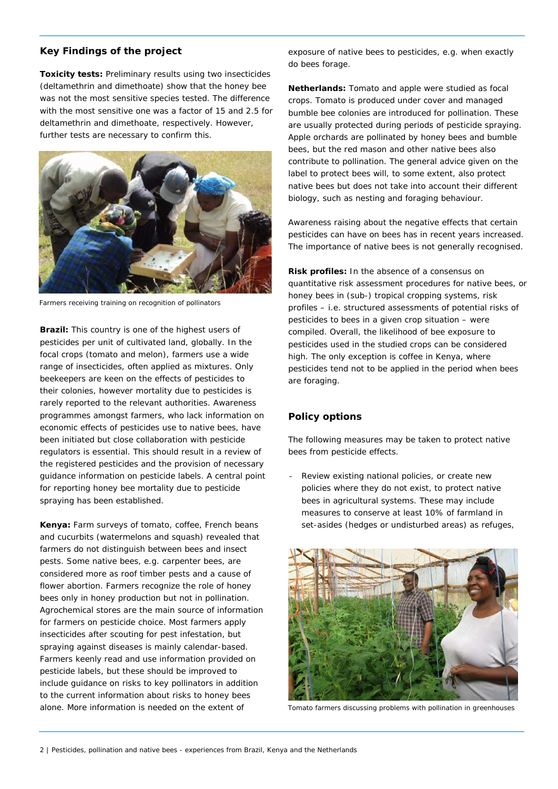## **Key Findings of the project**

**Toxicity tests:** Preliminary results using two insecticides (deltamethrin and dimethoate) show that the honey bee was not the most sensitive species tested. The difference with the most sensitive one was a factor of 15 and 2.5 for deltamethrin and dimethoate, respectively. However, further tests are necessary to confirm this.



Farmers receiving training on recognition of pollinators

**Brazil:** This country is one of the highest users of pesticides per unit of cultivated land, globally. In the focal crops (tomato and melon), farmers use a wide range of insecticides, often applied as mixtures. Only beekeepers are keen on the effects of pesticides to their colonies, however mortality due to pesticides is rarely reported to the relevant authorities. Awareness programmes amongst farmers, who lack information on economic effects of pesticides use to native bees, have been initiated but close collaboration with pesticide regulators is essential. This should result in a review of the registered pesticides and the provision of necessary guidance information on pesticide labels. A central point for reporting honey bee mortality due to pesticide spraying has been established.

**Kenya:** Farm surveys of tomato, coffee, French beans and cucurbits (watermelons and squash) revealed that farmers do not distinguish between bees and insect pests. Some native bees, e.g. carpenter bees, are considered more as roof timber pests and a cause of flower abortion. Farmers recognize the role of honey bees only in honey production but not in pollination. Agrochemical stores are the main source of information for farmers on pesticide choice. Most farmers apply insecticides after scouting for pest infestation, but spraying against diseases is mainly calendar-based. Farmers keenly read and use information provided on pesticide labels, but these should be improved to include guidance on risks to key pollinators in addition to the current information about risks to honey bees alone. More information is needed on the extent of

exposure of native bees to pesticides, e.g. when exactly do bees forage.

**Netherlands:** Tomato and apple were studied as focal crops. Tomato is produced under cover and managed bumble bee colonies are introduced for pollination. These are usually protected during periods of pesticide spraying. Apple orchards are pollinated by honey bees and bumble bees, but the red mason and other native bees also contribute to pollination. The general advice given on the label to protect bees will, to some extent, also protect native bees but does not take into account their different biology, such as nesting and foraging behaviour.

Awareness raising about the negative effects that certain pesticides can have on bees has in recent years increased. The importance of native bees is not generally recognised.

**Risk profiles:** In the absence of a consensus on quantitative risk assessment procedures for native bees, or honey bees in (sub-) tropical cropping systems, risk profiles – i.e. structured assessments of potential risks of pesticides to bees in a given crop situation – were compiled. Overall, the likelihood of bee exposure to pesticides used in the studied crops can be considered high. The only exception is coffee in Kenya, where pesticides tend not to be applied in the period when bees are foraging.

## **Policy options**

The following measures may be taken to protect native bees from pesticide effects.

Review existing national policies, or create new policies where they do not exist, to protect native bees in agricultural systems. These may include measures to conserve at least 10% of farmland in set-asides (hedges or undisturbed areas) as refuges,



Tomato farmers discussing problems with pollination in greenhouses